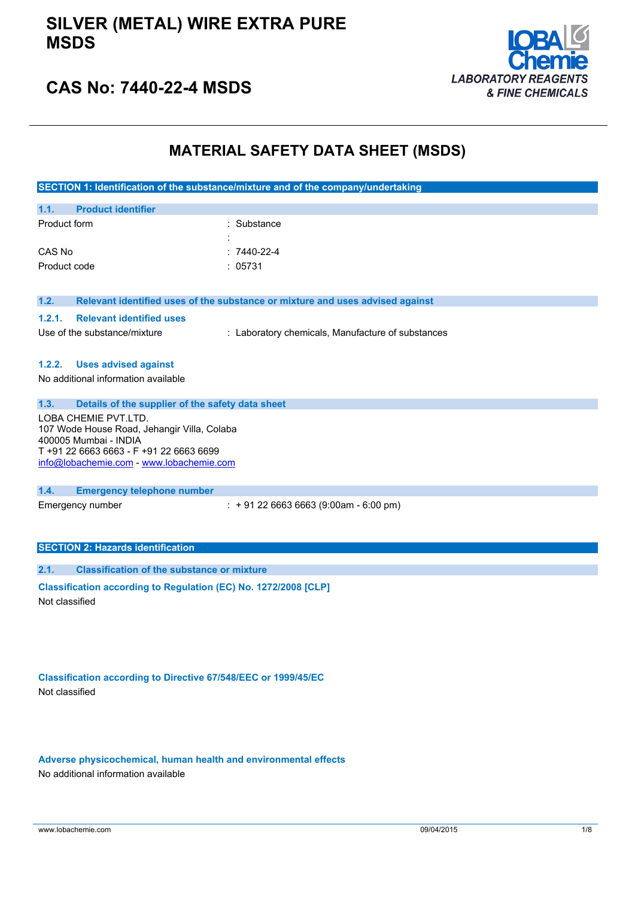### **SILVER (METAL) WIRE EXTRA PURE MSDS**



## **CAS No: 7440-22-4 MSDS**

## **MATERIAL SAFETY DATA SHEET (MSDS)**

|                                                                                                                                         | SECTION 1: Identification of the substance/mixture and of the company/undertaking |  |
|-----------------------------------------------------------------------------------------------------------------------------------------|-----------------------------------------------------------------------------------|--|
| 1.1.<br><b>Product identifier</b>                                                                                                       |                                                                                   |  |
| Product form                                                                                                                            | : Substance                                                                       |  |
| CAS No                                                                                                                                  | $:7440-22-4$                                                                      |  |
| Product code                                                                                                                            | : 05731                                                                           |  |
| 1.2.                                                                                                                                    | Relevant identified uses of the substance or mixture and uses advised against     |  |
| 1.2.1.<br><b>Relevant identified uses</b>                                                                                               |                                                                                   |  |
| Use of the substance/mixture                                                                                                            | : Laboratory chemicals, Manufacture of substances                                 |  |
| <b>Uses advised against</b><br>1.2.2.                                                                                                   |                                                                                   |  |
| No additional information available                                                                                                     |                                                                                   |  |
| 1.3.<br>Details of the supplier of the safety data sheet                                                                                |                                                                                   |  |
| LOBA CHEMIE PVT.LTD.<br>107 Wode House Road, Jehangir Villa, Colaba<br>400005 Mumbai - INDIA<br>T +91 22 6663 6663 - F +91 22 6663 6699 |                                                                                   |  |
| info@lobachemie.com - www.lobachemie.com                                                                                                |                                                                                   |  |
| 1.4.<br><b>Emergency telephone number</b>                                                                                               |                                                                                   |  |
| Emergency number                                                                                                                        | $\div$ + 91 22 6663 6663 (9:00am - 6:00 pm)                                       |  |
| <b>SECTION 2: Hazards identification</b>                                                                                                |                                                                                   |  |
| <b>Classification of the substance or mixture</b><br>2.1.                                                                               |                                                                                   |  |
| Classification according to Regulation (EC) No. 1272/2008 [CLP]<br>Not classified                                                       |                                                                                   |  |

**Classification according to Directive 67/548/EEC or 1999/45/EC** Not classified

**Adverse physicochemical, human health and environmental effects** No additional information available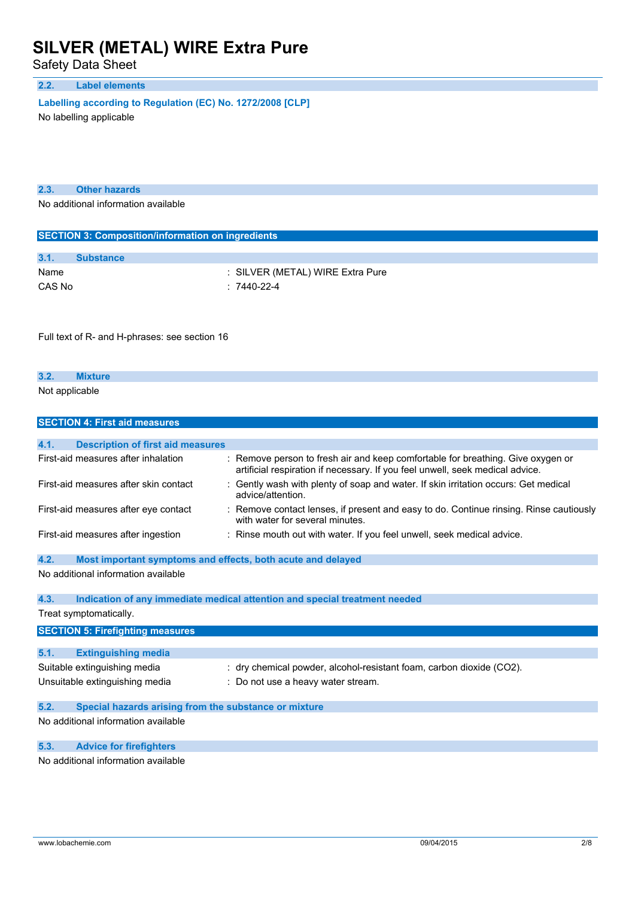Safety Data Sheet

### **2.2. Label elements**

**Labelling according to** Regulation (EC) No. 1272/2008 [CLP]

No labelling applicable

| 2.3. | <b>Other hazards</b> |  |
|------|----------------------|--|
|      |                      |  |

No additional information available

| <b>SECTION 3: Composition/information on ingredients</b> |                  |                                  |  |
|----------------------------------------------------------|------------------|----------------------------------|--|
|                                                          |                  |                                  |  |
| 3.1.                                                     | <b>Substance</b> |                                  |  |
| Name                                                     |                  | : SILVER (METAL) WIRE Extra Pure |  |
| CAS No                                                   |                  | : 7440-22-4                      |  |

Full text of R- and H-phrases: see section 16

| 3.2            |  |  |  |  |
|----------------|--|--|--|--|
| Not applicable |  |  |  |  |

|      | <b>SECTION 4: First aid measures</b>                        |                                                                                                                                                                  |
|------|-------------------------------------------------------------|------------------------------------------------------------------------------------------------------------------------------------------------------------------|
|      |                                                             |                                                                                                                                                                  |
| 4.1. | <b>Description of first aid measures</b>                    |                                                                                                                                                                  |
|      | First-aid measures after inhalation                         | : Remove person to fresh air and keep comfortable for breathing. Give oxygen or<br>artificial respiration if necessary. If you feel unwell, seek medical advice. |
|      | First-aid measures after skin contact                       | Gently wash with plenty of soap and water. If skin irritation occurs: Get medical<br>advice/attention.                                                           |
|      | First-aid measures after eye contact                        | : Remove contact lenses, if present and easy to do. Continue rinsing. Rinse cautiously<br>with water for several minutes.                                        |
|      | First-aid measures after ingestion                          | : Rinse mouth out with water. If you feel unwell, seek medical advice.                                                                                           |
| 4.2. | Most important symptoms and effects, both acute and delayed |                                                                                                                                                                  |
|      | No additional information available                         |                                                                                                                                                                  |
| 4.3. |                                                             | Indication of any immediate medical attention and special treatment needed                                                                                       |
|      | Treat symptomatically.                                      |                                                                                                                                                                  |
|      | <b>SECTION 5: Firefighting measures</b>                     |                                                                                                                                                                  |
|      |                                                             |                                                                                                                                                                  |
| 5.1. | <b>Extinguishing media</b>                                  |                                                                                                                                                                  |
|      | Suitable extinguishing media                                | : dry chemical powder, alcohol-resistant foam, carbon dioxide (CO2).                                                                                             |
|      | Unsuitable extinguishing media                              | : Do not use a heavy water stream.                                                                                                                               |
| 5.2. | Special hazards arising from the substance or mixture       |                                                                                                                                                                  |
|      | No additional information available                         |                                                                                                                                                                  |
| 5.3. | <b>Advice for firefighters</b>                              |                                                                                                                                                                  |
|      | No additional information available                         |                                                                                                                                                                  |

additional information available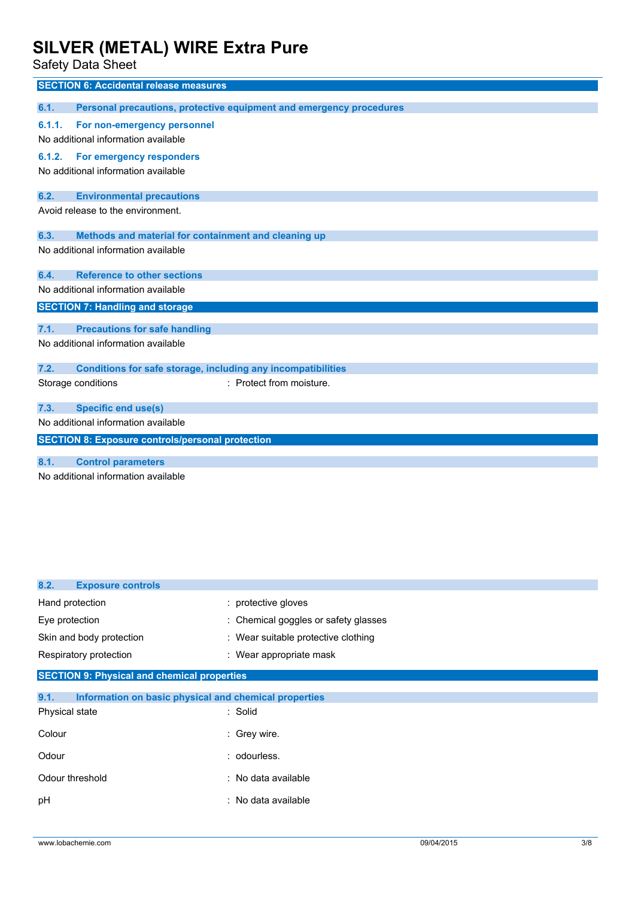Safety Data Sheet

| <b>SECTION 6: Accidental release measures</b>                               |
|-----------------------------------------------------------------------------|
|                                                                             |
| 6.1.<br>Personal precautions, protective equipment and emergency procedures |
| For non-emergency personnel<br>6.1.1.                                       |
| No additional information available                                         |
| For emergency responders<br>6.1.2.                                          |
| No additional information available                                         |
| 6.2.<br><b>Environmental precautions</b>                                    |
| Avoid release to the environment.                                           |
| Methods and material for containment and cleaning up<br>6.3.                |
| No additional information available                                         |
| <b>Reference to other sections</b><br>6.4.                                  |
| No additional information available                                         |
| <b>SECTION 7: Handling and storage</b>                                      |
| <b>Precautions for safe handling</b><br>7.1.                                |
| No additional information available                                         |
| 7.2.<br><b>Conditions for safe storage, including any incompatibilities</b> |
| : Protect from moisture.<br>Storage conditions                              |
| <b>Specific end use(s)</b><br>7.3.                                          |
| No additional information available                                         |
| <b>SECTION 8: Exposure controls/personal protection</b>                     |
| <b>Control parameters</b><br>8.1.                                           |
| No additional information available                                         |

| 8.2.<br><b>Exposure controls</b>                              |                                      |
|---------------------------------------------------------------|--------------------------------------|
| Hand protection                                               | : protective gloves                  |
| Eye protection                                                | : Chemical goggles or safety glasses |
| Skin and body protection                                      | : Wear suitable protective clothing  |
| Respiratory protection                                        | : Wear appropriate mask              |
| <b>SECTION 9: Physical and chemical properties</b>            |                                      |
| 9.1.<br>Information on basic physical and chemical properties |                                      |
| Physical state                                                | : Solid                              |
| Colour                                                        | : Grey wire.                         |
| Odour                                                         | : odourless.                         |
| Odour threshold                                               | : No data available                  |
| pH                                                            | : No data available                  |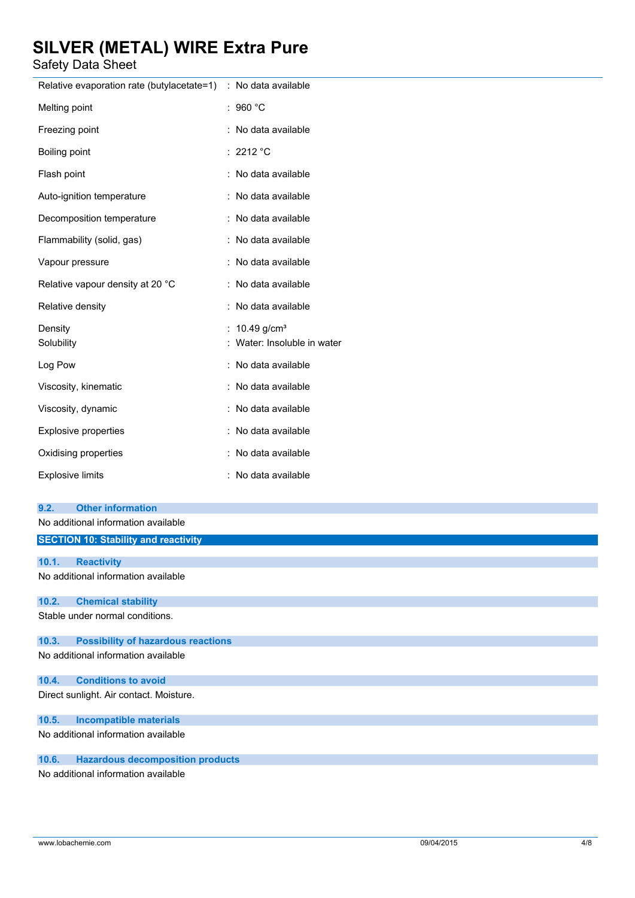Safety Data Sheet

| υαισιγ Data σποσι                                  |                             |
|----------------------------------------------------|-----------------------------|
| Relative evaporation rate (butylacetate=1)         | : No data available         |
| Melting point                                      | : 960 $^{\circ}$ C          |
| Freezing point                                     | : No data available         |
| Boiling point                                      | : 2212 °C                   |
| Flash point                                        | : No data available         |
| Auto-ignition temperature                          | : No data available         |
| Decomposition temperature                          | : No data available         |
| Flammability (solid, gas)                          | : No data available         |
| Vapour pressure                                    | : No data available         |
| Relative vapour density at 20 °C                   | : No data available         |
| Relative density                                   | : No data available         |
| Density                                            | : $10.49$ g/cm <sup>3</sup> |
| Solubility                                         | Water: Insoluble in water   |
| Log Pow                                            | : No data available         |
| Viscosity, kinematic                               | : No data available         |
| Viscosity, dynamic                                 | : No data available         |
| <b>Explosive properties</b>                        | : No data available         |
| Oxidising properties                               | : No data available         |
| <b>Explosive limits</b>                            | : No data available         |
|                                                    |                             |
| <b>Other information</b><br>9.2.                   |                             |
| No additional information available                |                             |
| <b>SECTION 10: Stability and reactivity</b>        |                             |
| 10.1.<br><b>Reactivity</b>                         |                             |
| No additional information available                |                             |
| <b>Chemical stability</b><br>10.2.                 |                             |
| Stable under normal conditions.                    |                             |
| 10.3.<br><b>Possibility of hazardous reactions</b> |                             |
| No additional information available                |                             |
| 10.4.<br><b>Conditions to avoid</b>                |                             |
| Direct sunlight. Air contact. Moisture.            |                             |
| 10.5.<br><b>Incompatible materials</b>             |                             |
| No additional information available                |                             |
| <b>Hazardous decomposition products</b><br>10.6.   |                             |

No additional information available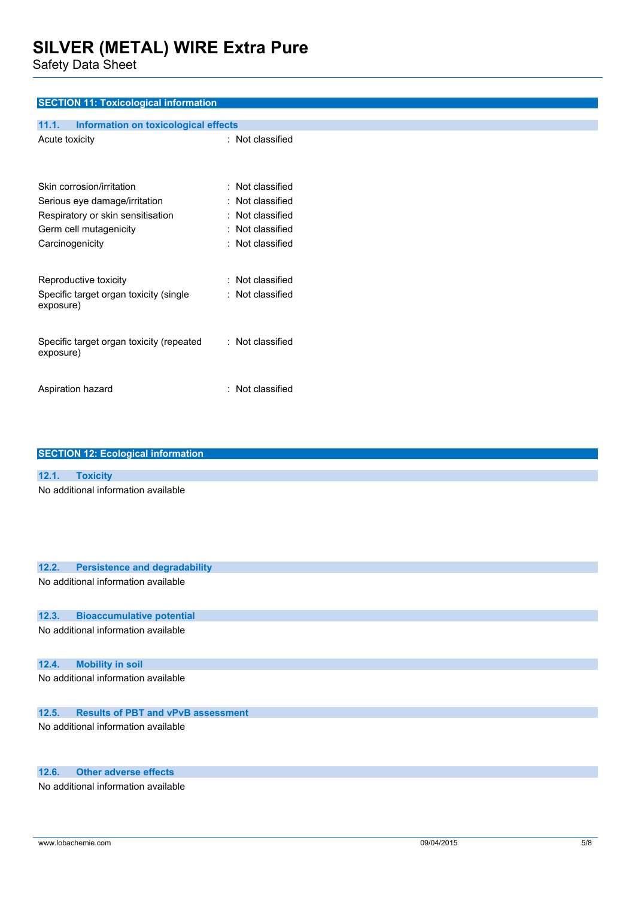Safety Data Sheet

### **SECTION 11: Toxicological information**

| Information on toxicological effects<br>11.1.         |                      |
|-------------------------------------------------------|----------------------|
| Acute toxicity                                        | : Not classified     |
| Skin corrosion/irritation                             | $:$ Not classified   |
| Serious eye damage/irritation                         | $\pm$ Not classified |
| Respiratory or skin sensitisation                     | $\pm$ Not classified |
| Germ cell mutagenicity                                | $\pm$ Not classified |
| Carcinogenicity                                       | $\pm$ Not classified |
| Reproductive toxicity                                 | $:$ Not classified   |
| Specific target organ toxicity (single<br>exposure)   | $:$ Not classified   |
| Specific target organ toxicity (repeated<br>exposure) | $\pm$ Not classified |
| Aspiration hazard                                     | : Not classified     |

| <b>SECTION 12: Ecological information</b>          |
|----------------------------------------------------|
|                                                    |
| 12.1.<br><b>Toxicity</b>                           |
| No additional information available                |
| 12.2.<br><b>Persistence and degradability</b>      |
| No additional information available                |
| <b>Bioaccumulative potential</b><br>12.3.          |
| No additional information available                |
| 12.4.<br><b>Mobility in soil</b>                   |
| No additional information available                |
| 12.5.<br><b>Results of PBT and vPvB assessment</b> |
| No odditional information quailable                |

No additional information available

### **12.6. Other adverse effects**

No additional information available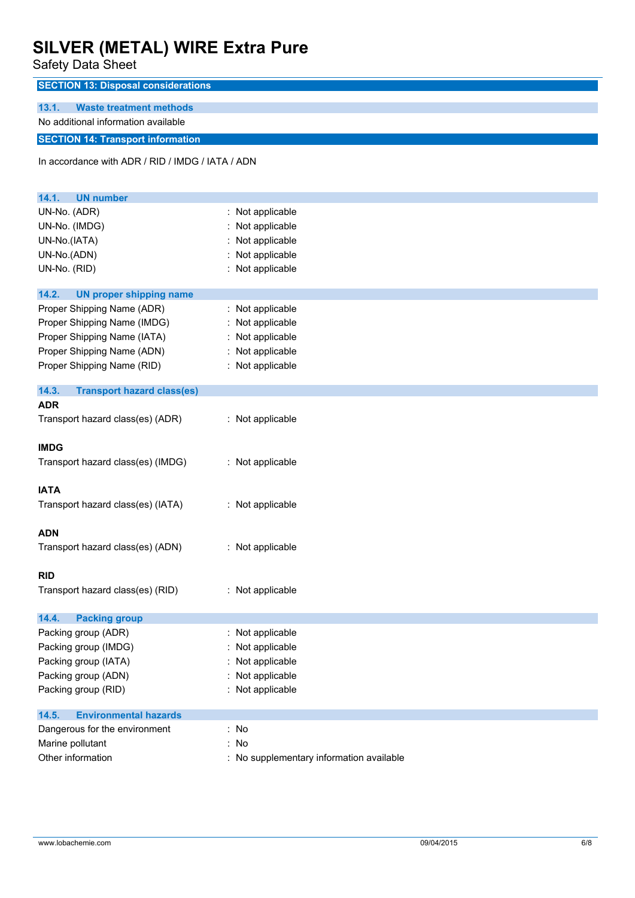Safety Data Sheet

| υαινιγ υαια υπννι                                                     |                                          |  |  |
|-----------------------------------------------------------------------|------------------------------------------|--|--|
| <b>SECTION 13: Disposal considerations</b>                            |                                          |  |  |
| 13.1.<br><b>Waste treatment methods</b>                               |                                          |  |  |
| No additional information available                                   |                                          |  |  |
| <b>SECTION 14: Transport information</b>                              |                                          |  |  |
|                                                                       |                                          |  |  |
| In accordance with ADR / RID / IMDG / IATA / ADN                      |                                          |  |  |
|                                                                       |                                          |  |  |
| 14.1.<br><b>UN number</b>                                             |                                          |  |  |
| UN-No. (ADR)                                                          | : Not applicable                         |  |  |
| UN-No. (IMDG)                                                         | Not applicable                           |  |  |
| UN-No.(IATA)                                                          | Not applicable                           |  |  |
| UN-No.(ADN)                                                           | Not applicable                           |  |  |
| UN-No. (RID)                                                          | : Not applicable                         |  |  |
|                                                                       |                                          |  |  |
| 14.2.<br><b>UN proper shipping name</b><br>Proper Shipping Name (ADR) | : Not applicable                         |  |  |
| Proper Shipping Name (IMDG)                                           | : Not applicable                         |  |  |
| Proper Shipping Name (IATA)                                           | Not applicable                           |  |  |
| Proper Shipping Name (ADN)                                            | : Not applicable                         |  |  |
| Proper Shipping Name (RID)                                            | : Not applicable                         |  |  |
|                                                                       |                                          |  |  |
| 14.3.<br><b>Transport hazard class(es)</b>                            |                                          |  |  |
| <b>ADR</b>                                                            |                                          |  |  |
| Transport hazard class(es) (ADR)                                      | : Not applicable                         |  |  |
|                                                                       |                                          |  |  |
| <b>IMDG</b>                                                           |                                          |  |  |
| Transport hazard class(es) (IMDG)                                     | : Not applicable                         |  |  |
| <b>IATA</b>                                                           |                                          |  |  |
| Transport hazard class(es) (IATA)                                     | : Not applicable                         |  |  |
|                                                                       |                                          |  |  |
| <b>ADN</b>                                                            |                                          |  |  |
| Transport hazard class(es) (ADN)                                      | : Not applicable                         |  |  |
|                                                                       |                                          |  |  |
| <b>RID</b>                                                            |                                          |  |  |
| Transport hazard class(es) (RID)                                      | : Not applicable                         |  |  |
|                                                                       |                                          |  |  |
| 14.4.<br><b>Packing group</b>                                         |                                          |  |  |
| Packing group (ADR)                                                   | : Not applicable                         |  |  |
| Packing group (IMDG)                                                  | Not applicable                           |  |  |
| Packing group (IATA)                                                  | Not applicable                           |  |  |
| Packing group (ADN)                                                   | Not applicable                           |  |  |
| Packing group (RID)                                                   | : Not applicable                         |  |  |
| <b>Environmental hazards</b><br>14.5.                                 |                                          |  |  |
| Dangerous for the environment                                         | : No                                     |  |  |
| Marine pollutant                                                      | : No                                     |  |  |
| Other information                                                     | : No supplementary information available |  |  |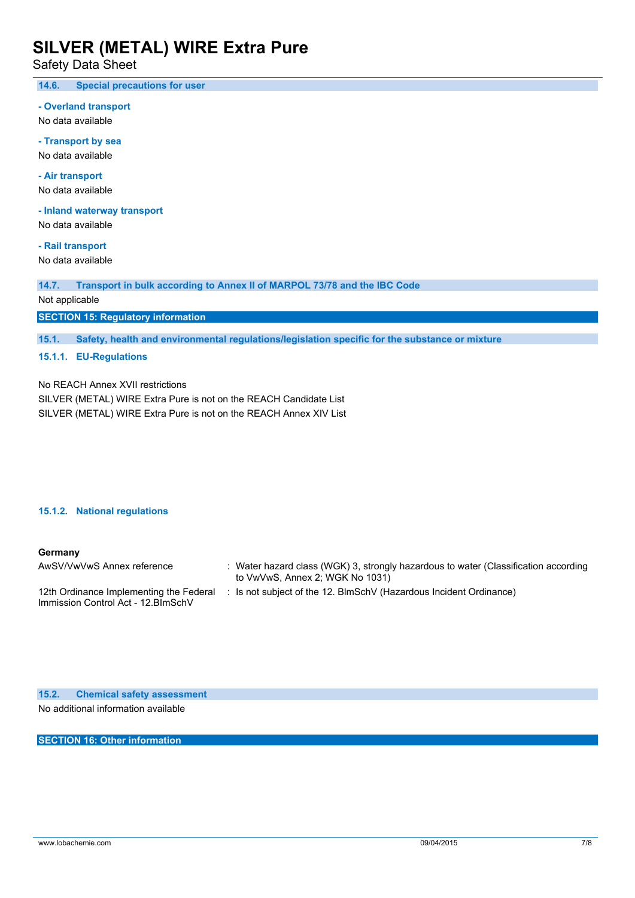Safety Data Sheet

**14.6. Special precautions for user**

#### **- Overland transport**

No data available

**- Transport by sea** No data available

**- Air transport** No data available

**- Inland waterway transport**

No data available

**- Rail transport** No data available

**14.7. Transport in bulk according to Annex II of MARPOL 73/78 and the IBC Code**

Not applicable

**SECTION 15: Regulatory information**

**15.1. Safety, health and environmental regulations/legislation specific for the substance or mixture**

#### **15.1.1. EU-Regulations**

No REACH Annex XVII restrictions

SILVER (METAL) WIRE Extra Pure is not on the REACH Candidate List SILVER (METAL) WIRE Extra Pure is not on the REACH Annex XIV List

#### **15.1.2. National regulations**

#### **Germany**

| AwSV/VwVwS Annex reference                                                     | : Water hazard class (WGK) 3, strongly hazardous to water (Classification according<br>to VwVwS, Annex 2; WGK No 1031) |
|--------------------------------------------------------------------------------|------------------------------------------------------------------------------------------------------------------------|
| 12th Ordinance Implementing the Federal<br>Immission Control Act - 12. BlmSchV | Is not subject of the 12. BlmSchV (Hazardous Incident Ordinance)                                                       |

**15.2. Chemical safety assessment** No additional information available

**SECTION 16: Other information**